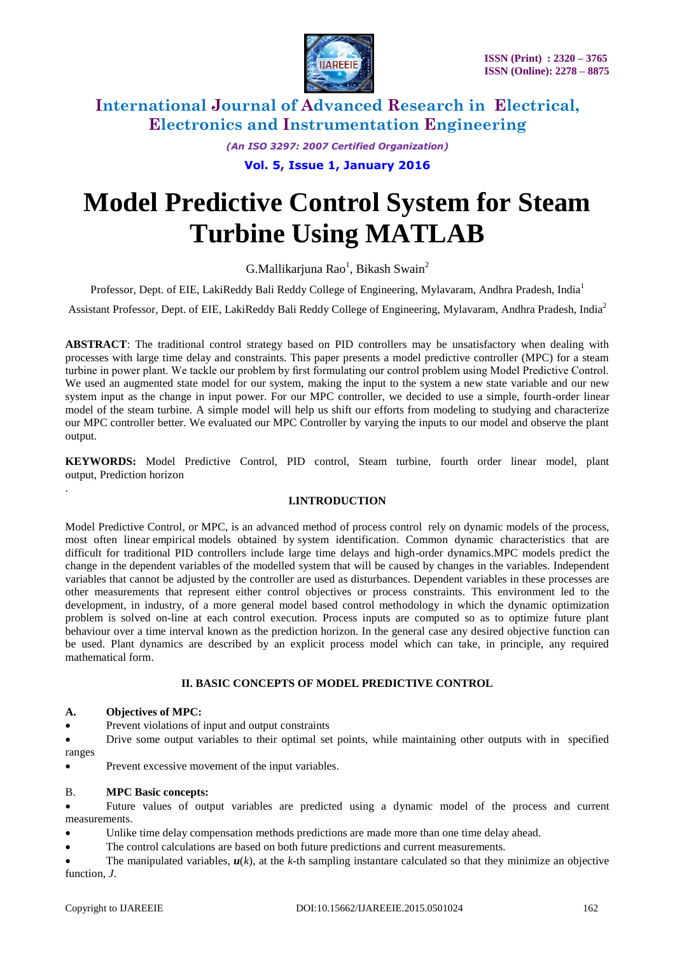

*(An ISO 3297: 2007 Certified Organization)*

**Vol. 5, Issue 1, January 2016**

# **Model Predictive Control System for Steam Turbine Using MATLAB**

 $G.Mallikarjuna Rao<sup>1</sup>, Bikash Swain<sup>2</sup>$ 

Professor, Dept. of EIE, LakiReddy Bali Reddy College of Engineering, Mylavaram, Andhra Pradesh, India<sup>1</sup>

Assistant Professor, Dept. of EIE, LakiReddy Bali Reddy College of Engineering, Mylavaram, Andhra Pradesh, India<sup>2</sup>

**ABSTRACT**: The traditional control strategy based on PID controllers may be unsatisfactory when dealing with processes with large time delay and constraints. This paper presents a model predictive controller (MPC) for a steam turbine in power plant. We tackle our problem by first formulating our control problem using Model Predictive Control. We used an augmented state model for our system, making the input to the system a new state variable and our new system input as the change in input power. For our MPC controller, we decided to use a simple, fourth-order linear model of the steam turbine. A simple model will help us shift our efforts from modeling to studying and characterize our MPC controller better. We evaluated our MPC Controller by varying the inputs to our model and observe the plant output.

**KEYWORDS:** Model Predictive Control, PID control, Steam turbine, fourth order linear model, plant output, Prediction horizon

### **I.INTRODUCTION**

Model Predictive Control, or MPC, is an advanced method of [process control](http://en.wikipedia.org/wiki/Process_control) rely on dynamic models of the process, most often linear [empirical](http://en.wikipedia.org/wiki/Empirical) models obtained by [system identification.](http://en.wikipedia.org/wiki/System_identification) Common dynamic characteristics that are difficult for traditional PID controllers include large time delays and high-order dynamics.MPC models predict the change in the [dependent variables](http://en.wikipedia.org/wiki/Dependent_variable) of the modelled system that will be caused by changes in the variables. Independent variables that cannot be adjusted by the controller are used as disturbances. Dependent variables in these processes are other measurements that represent either control objectives or process constraints. This environment led to the development, in industry, of a more general model based control methodology in which the dynamic optimization problem is solved on-line at each control execution. Process inputs are computed so as to optimize future plant behaviour over a time interval known as the prediction horizon. In the general case any desired objective function can be used. Plant dynamics are described by an explicit process model which can take, in principle, any required mathematical form.

### **II. BASIC CONCEPTS OF MODEL PREDICTIVE CONTROL**

#### **A. Objectives of MPC:**

.

Prevent violations of input and output constraints

 Drive some output variables to their optimal set points, while maintaining other outputs with in specified ranges

Prevent excessive movement of the input variables.

#### B. **MPC Basic concepts:**

 Future values of output variables are predicted using a dynamic model of the process and current measurements.

Unlike time delay compensation methods predictions are made more than one time delay ahead.

The control calculations are based on both future predictions and current measurements.

The manipulated variables,  $u(k)$ , at the  $k$ -th sampling instantare calculated so that they minimize an objective function, *J*.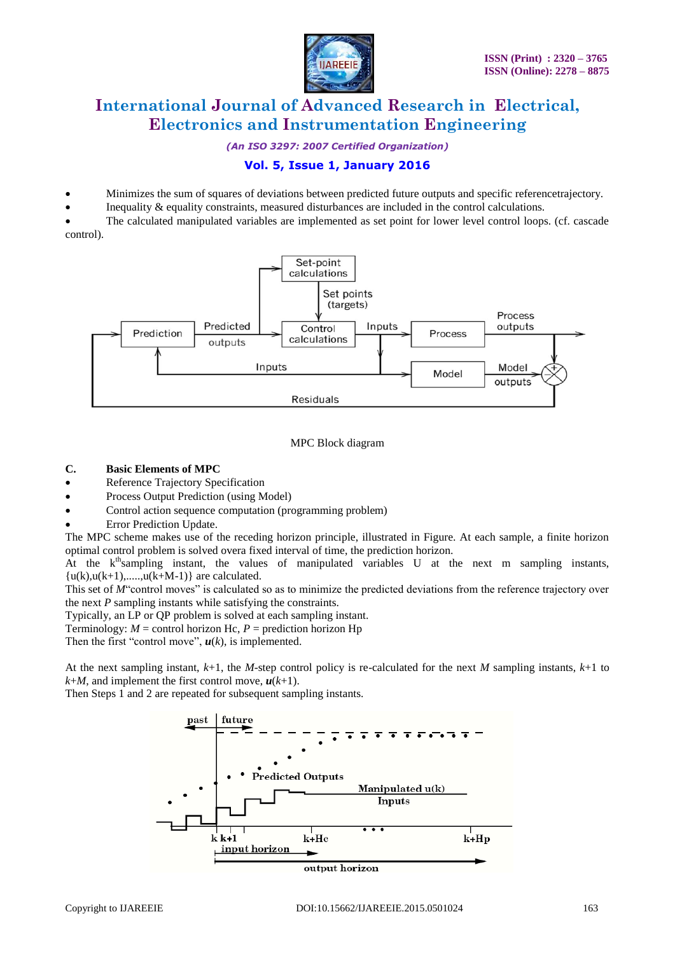

*(An ISO 3297: 2007 Certified Organization)*

# **Vol. 5, Issue 1, January 2016**

- Minimizes the sum of squares of deviations between predicted future outputs and specific referencetrajectory.
- Inequality & equality constraints, measured disturbances are included in the control calculations.

 The calculated manipulated variables are implemented as set point for lower level control loops. (cf. cascade control).



### MPC Block diagram

#### **C. Basic Elements of MPC**

- Reference Trajectory Specification
- Process Output Prediction (using Model)
- Control action sequence computation (programming problem)
- Error Prediction Update.

The MPC scheme makes use of the receding horizon principle, illustrated in Figure. At each sample, a finite horizon optimal control problem is solved overa fixed interval of time, the prediction horizon.

At the  $k<sup>th</sup>$ sampling instant, the values of manipulated variables U at the next m sampling instants,  ${u(k),u(k+1),.....,u(k+M-1)}$  are calculated.

This set of *M*"control moves" is calculated so as to minimize the predicted deviations from the reference trajectory over the next *P* sampling instants while satisfying the constraints.

Typically, an LP or QP problem is solved at each sampling instant.

Terminology:  $M =$  control horizon Hc,  $P =$  prediction horizon Hp

Then the first "control move",  $u(k)$ , is implemented.

At the next sampling instant, *k*+1, the *M*-step control policy is re-calculated for the next *M* sampling instants, *k*+1 to  $k+M$ , and implement the first control move,  $u(k+1)$ .

Then Steps 1 and 2 are repeated for subsequent sampling instants.

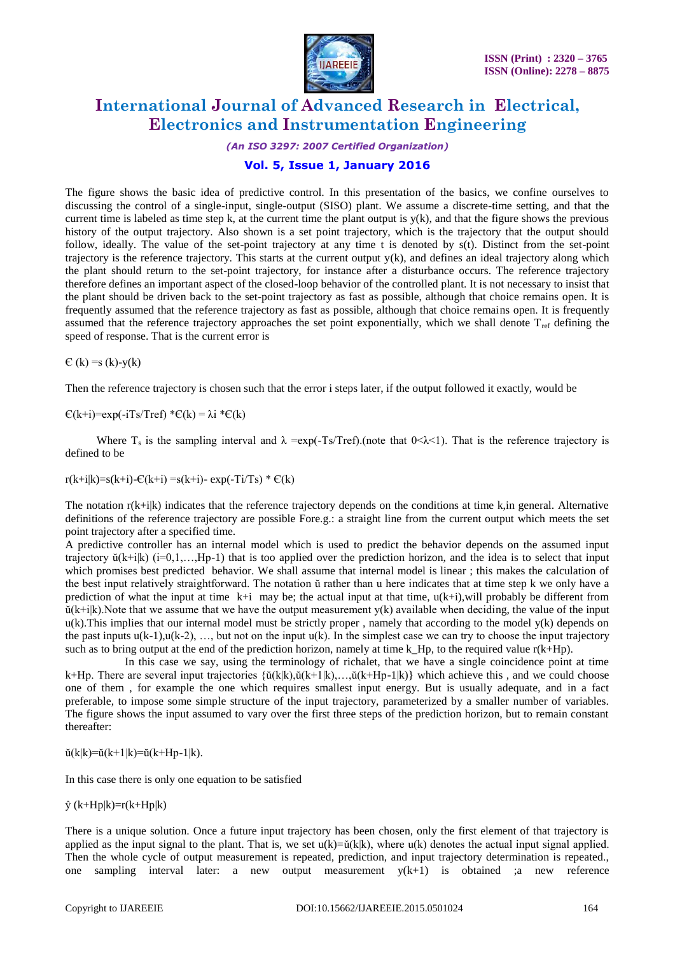

*(An ISO 3297: 2007 Certified Organization)*

### **Vol. 5, Issue 1, January 2016**

The figure shows the basic idea of predictive control. In this presentation of the basics, we confine ourselves to discussing the control of a single-input, single-output (SISO) plant. We assume a discrete-time setting, and that the current time is labeled as time step k, at the current time the plant output is  $y(k)$ , and that the figure shows the previous history of the output trajectory. Also shown is a set point trajectory, which is the trajectory that the output should follow, ideally. The value of the set-point trajectory at any time t is denoted by s(t). Distinct from the set-point trajectory is the reference trajectory. This starts at the current output  $y(k)$ , and defines an ideal trajectory along which the plant should return to the set-point trajectory, for instance after a disturbance occurs. The reference trajectory therefore defines an important aspect of the closed-loop behavior of the controlled plant. It is not necessary to insist that the plant should be driven back to the set-point trajectory as fast as possible, although that choice remains open. It is frequently assumed that the reference trajectory as fast as possible, although that choice remains open. It is frequently assumed that the reference trajectory approaches the set point exponentially, which we shall denote T<sub>ref</sub> defining the speed of response. That is the current error is

 $E(k) = s(k)-y(k)$ 

Then the reference trajectory is chosen such that the error i steps later, if the output followed it exactly, would be

 $E(k+i)=exp(-iTs/Tref) *E(k) = \lambda i *E(k)$ 

Where  $T_s$  is the sampling interval and  $\lambda = \exp(-Ts/Tref)$ . (note that  $0 < \lambda < 1$ ). That is the reference trajectory is defined to be

 $r(k+i|k)=s(k+i)-C(k+i)=s(k+i)-\exp(-Ti/Ts) * C(k)$ 

The notation  $r(k+i|k)$  indicates that the reference trajectory depends on the conditions at time k, in general. Alternative definitions of the reference trajectory are possible Fore.g.: a straight line from the current output which meets the set point trajectory after a specified time.

A predictive controller has an internal model which is used to predict the behavior depends on the assumed input trajectory  $\breve{u}(k+i|k)$  ( $i=0,1,...,Hp-1$ ) that is too applied over the prediction horizon, and the idea is to select that input which promises best predicted behavior. We shall assume that internal model is linear ; this makes the calculation of the best input relatively straightforward. The notation ŭ rather than u here indicates that at time step k we only have a prediction of what the input at time  $k+i$  may be; the actual input at that time,  $u(k+i)$ , will probably be different from  $\breve{u}(k+i|k)$ . Note that we assume that we have the output measurement  $y(k)$  available when deciding, the value of the input  $u(k)$ . This implies that our internal model must be strictly proper, namely that according to the model  $y(k)$  depends on the past inputs  $u(k-1)$ ,  $u(k-2)$ , ..., but not on the input  $u(k)$ . In the simplest case we can try to choose the input trajectory such as to bring output at the end of the prediction horizon, namely at time k Hp, to the required value  $r(k+Hp)$ .

 In this case we say, using the terminology of richalet, that we have a single coincidence point at time k+Hp. There are several input trajectories  $\{\check{u}(k|k),\check{u}(k+1|k),\ldots,\check{u}(k+Hp-1|k)\}\$  which achieve this, and we could choose one of them , for example the one which requires smallest input energy. But is usually adequate, and in a fact preferable, to impose some simple structure of the input trajectory, parameterized by a smaller number of variables. The figure shows the input assumed to vary over the first three steps of the prediction horizon, but to remain constant thereafter:

 $\check{u}(k|k)=\check{u}(k+1|k)=\check{u}(k+Hp-1|k).$ 

In this case there is only one equation to be satisfied

 $\hat{y}$  (k+Hp|k)=r(k+Hp|k)

There is a unique solution. Once a future input trajectory has been chosen, only the first element of that trajectory is applied as the input signal to the plant. That is, we set  $u(k)=\tilde{u}(k)$ , where  $u(k)$  denotes the actual input signal applied. Then the whole cycle of output measurement is repeated, prediction, and input trajectory determination is repeated., one sampling interval later: a new output measurement y(k+1) is obtained ;a new reference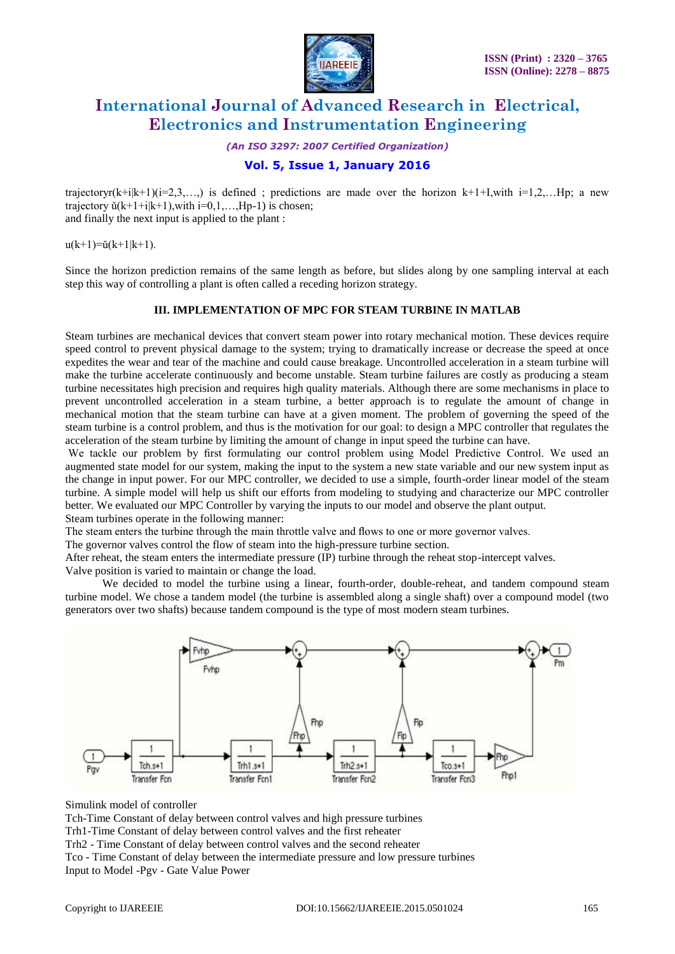

*(An ISO 3297: 2007 Certified Organization)*

## **Vol. 5, Issue 1, January 2016**

trajectoryr(k+i|k+1)(i=2,3,...) is defined; predictions are made over the horizon k+1+I,with i=1,2,...Hp; a new trajectory  $\check{u}(k+1+i|k+1)$ , with  $i=0,1,...,Hp-1$ ) is chosen; and finally the next input is applied to the plant :

 $u(k+1)=\check{u}(k+1|k+1)$ .

Since the horizon prediction remains of the same length as before, but slides along by one sampling interval at each step this way of controlling a plant is often called a receding horizon strategy.

#### **III. IMPLEMENTATION OF MPC FOR STEAM TURBINE IN MATLAB**

Steam turbines are mechanical devices that convert steam power into rotary mechanical motion. These devices require speed control to prevent physical damage to the system; trying to dramatically increase or decrease the speed at once expedites the wear and tear of the machine and could cause breakage. Uncontrolled acceleration in a steam turbine will make the turbine accelerate continuously and become unstable. Steam turbine failures are costly as producing a steam turbine necessitates high precision and requires high quality materials. Although there are some mechanisms in place to prevent uncontrolled acceleration in a steam turbine, a better approach is to regulate the amount of change in mechanical motion that the steam turbine can have at a given moment. The problem of governing the speed of the steam turbine is a control problem, and thus is the motivation for our goal: to design a MPC controller that regulates the acceleration of the steam turbine by limiting the amount of change in input speed the turbine can have.

We tackle our problem by first formulating our control problem using Model Predictive Control. We used an augmented state model for our system, making the input to the system a new state variable and our new system input as the change in input power. For our MPC controller, we decided to use a simple, fourth-order linear model of the steam turbine. A simple model will help us shift our efforts from modeling to studying and characterize our MPC controller better. We evaluated our MPC Controller by varying the inputs to our model and observe the plant output. Steam turbines operate in the following manner:

The steam enters the turbine through the main throttle valve and flows to one or more governor valves.

The governor valves control the flow of steam into the high-pressure turbine section.

After reheat, the steam enters the intermediate pressure (IP) turbine through the reheat stop-intercept valves. Valve position is varied to maintain or change the load.

 We decided to model the turbine using a linear, fourth-order, double-reheat, and tandem compound steam turbine model. We chose a tandem model (the turbine is assembled along a single shaft) over a compound model (two generators over two shafts) because tandem compound is the type of most modern steam turbines.



Simulink model of controller

Tch-Time Constant of delay between control valves and high pressure turbines Trh1-Time Constant of delay between control valves and the first reheater Trh2 - Time Constant of delay between control valves and the second reheater Tco - Time Constant of delay between the intermediate pressure and low pressure turbines Input to Model -Pgv - Gate Value Power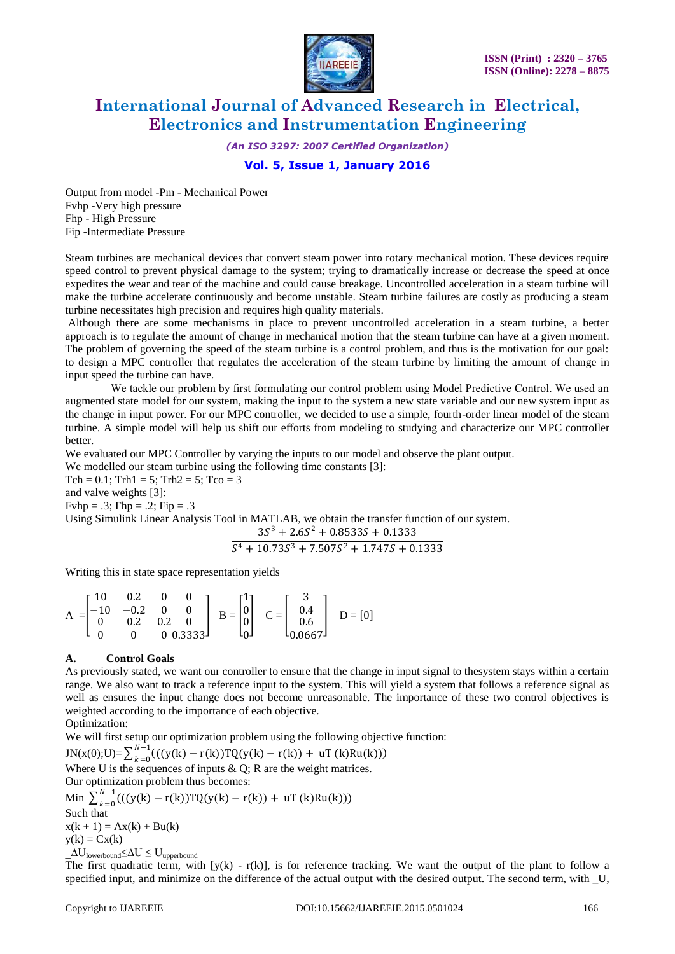

*(An ISO 3297: 2007 Certified Organization)*

## **Vol. 5, Issue 1, January 2016**

Output from model -Pm - Mechanical Power Fvhp -Very high pressure Fhp - High Pressure Fip -Intermediate Pressure

Steam turbines are mechanical devices that convert steam power into rotary mechanical motion. These devices require speed control to prevent physical damage to the system; trying to dramatically increase or decrease the speed at once expedites the wear and tear of the machine and could cause breakage. Uncontrolled acceleration in a steam turbine will make the turbine accelerate continuously and become unstable. Steam turbine failures are costly as producing a steam turbine necessitates high precision and requires high quality materials.

Although there are some mechanisms in place to prevent uncontrolled acceleration in a steam turbine, a better approach is to regulate the amount of change in mechanical motion that the steam turbine can have at a given moment. The problem of governing the speed of the steam turbine is a control problem, and thus is the motivation for our goal: to design a MPC controller that regulates the acceleration of the steam turbine by limiting the amount of change in input speed the turbine can have.

 We tackle our problem by first formulating our control problem using Model Predictive Control. We used an augmented state model for our system, making the input to the system a new state variable and our new system input as the change in input power. For our MPC controller, we decided to use a simple, fourth-order linear model of the steam turbine. A simple model will help us shift our efforts from modeling to studying and characterize our MPC controller better.

We evaluated our MPC Controller by varying the inputs to our model and observe the plant output.

We modelled our steam turbine using the following time constants [3]: Tch =  $0.1$ ; Trh1 = 5; Trh2 = 5; Tco = 3 and valve weights [3]:  $Fvhp = .3$ ;  $Fhp = .2$ ;  $Fip = .3$ Using Simulink Linear Analysis Tool in MATLAB, we obtain the transfer function of our system.  $3S^3 + 2.6S^2 + 0.8533S + 0.1333$  $S^4 + 10.73S^3 + 7.507S^2 + 1.747S + 0.1333$ 

Writing this in state space representation yields

$$
A = \begin{bmatrix} 10 & 0.2 & 0 & 0 \\ -10 & -0.2 & 0 & 0 \\ 0 & 0.2 & 0.2 & 0 \\ 0 & 0 & 0 & 0.3333 \end{bmatrix} \quad B = \begin{bmatrix} 1 \\ 0 \\ 0 \\ 0 \end{bmatrix} \quad C = \begin{bmatrix} 3 \\ 0.4 \\ 0.6 \\ 0.0667 \end{bmatrix} \quad D = [0]
$$

#### **A. Control Goals**

As previously stated, we want our controller to ensure that the change in input signal to thesystem stays within a certain range. We also want to track a reference input to the system. This will yield a system that follows a reference signal as well as ensures the input change does not become unreasonable. The importance of these two control objectives is weighted according to the importance of each objective.

Optimization:

We will first setup our optimization problem using the following objective function:

 $JN(x(0);U) = \sum_{k=0}^{N-1} ((y(k) - r(k))TQ(y(k) - r(k)) + uT(k)Ru(k)))$  $k=0$ Where U is the sequences of inputs  $\& Q$ ; R are the weight matrices. Our optimization problem thus becomes:

Min  $\sum_{k=0}^{N-1} ((y(k) - r(k))TQ(y(k) - r(k)) + uT(k)Ru(k)))$  $k=0$ Such that  $x(k + 1) = Ax(k) + Bu(k)$  $y(k) = Cx(k)$  $\Delta U$ <sub>lowerbound</sub>≤ $\Delta U \leq U$ <sub>upperbound</sub>

The first quadratic term, with  $[y(k) - r(k)]$ , is for reference tracking. We want the output of the plant to follow a specified input, and minimize on the difference of the actual output with the desired output. The second term, with \_U,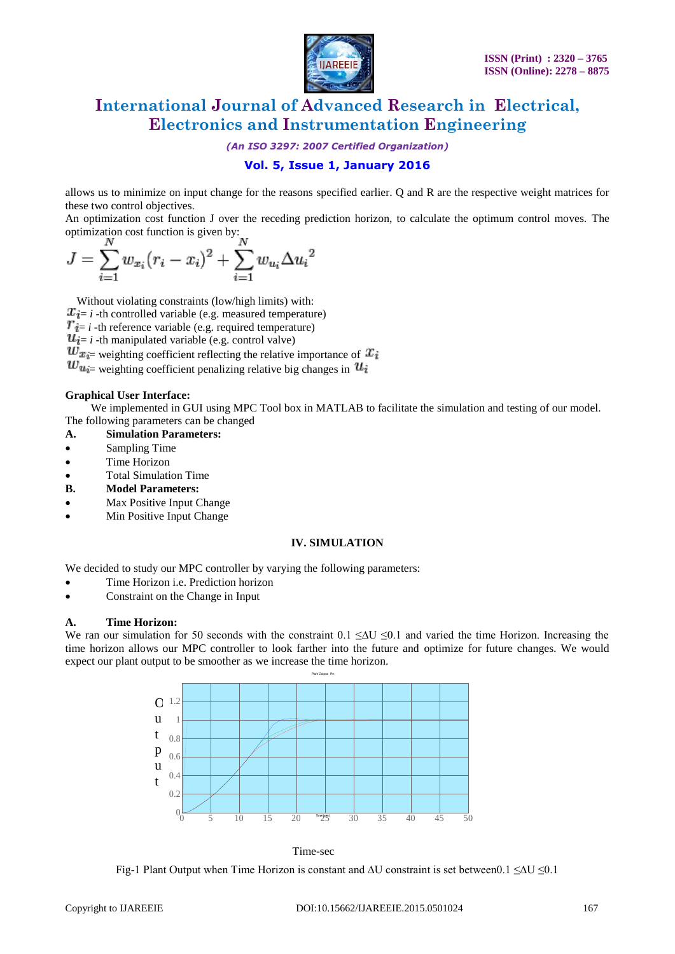

*(An ISO 3297: 2007 Certified Organization)*

# **Vol. 5, Issue 1, January 2016**

allows us to minimize on input change for the reasons specified earlier. Q and R are the respective weight matrices for these two control objectives.

An optimization cost function J over the receding prediction horizon, to calculate the optimum control moves. The optimization cost function is given by:

$$
J = \sum_{i=1}^{N} w_{x_i} (r_i - x_i)^2 + \sum_{i=1}^{N} w_{u_i} \Delta u_i^2
$$

 Without violating constraints (low/high limits) with:  $x_{i=i}$  -th controlled variable (e.g. measured temperature)  $T_i = i$  -th reference variable (e.g. required temperature)  $u_{i=i}$  -th manipulated variable (e.g. control valve)  $w_{x_i}$  weighting coefficient reflecting the relative importance of  $x_i$  $w_{u_i}$  weighting coefficient penalizing relative big changes in  $u_i$ 

#### **Graphical User Interface:**

We implemented in GUI using MPC Tool box in MATLAB to facilitate the simulation and testing of our model. The following parameters can be changed

- **A. Simulation Parameters:**
- Sampling Time
- Time Horizon
- Total Simulation Time
- **B. Model Parameters:**
- Max Positive Input Change
- Min Positive Input Change

#### **IV. SIMULATION**

We decided to study our MPC controller by varying the following parameters:

- Time Horizon i.e. Prediction horizon
- Constraint on the Change in Input

#### **A. Time Horizon:**

We ran our simulation for 50 seconds with the constraint  $0.1 \leq \Delta U \leq 0.1$  and varied the time Horizon. Increasing the time horizon allows our MPC controller to look farther into the future and optimize for future changes. We would expect our plant output to be smoother as we increase the time horizon.



Time-sec

Fig-1 Plant Output when Time Horizon is constant and ∆U constraint is set between0.1 ≤∆U ≤0.1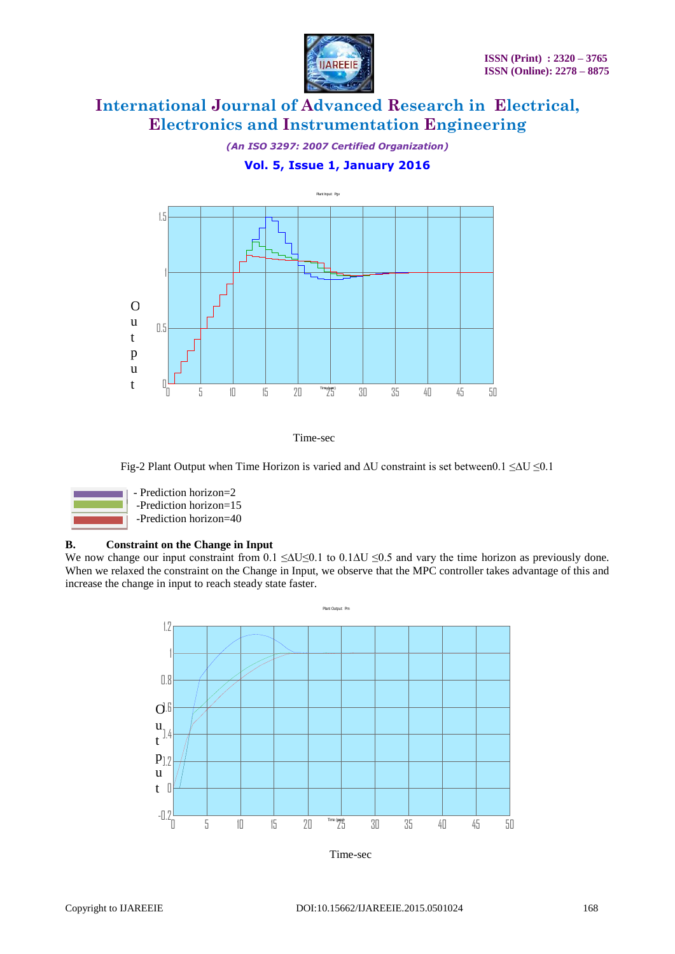

*(An ISO 3297: 2007 Certified Organization)*

## **Vol. 5, Issue 1, January 2016**



Time-sec

Fig-2 Plant Output when Time Horizon is varied and ∆U constraint is set between0.1 ≤∆U ≤0.1



### **B. Constraint on the Change in Input**

We now change our input constraint from 0.1 ≤ $\Delta U \le 0.1$  to 0.1 $\Delta U \le 0.5$  and vary the time horizon as previously done. When we relaxed the constraint on the Change in Input, we observe that the MPC controller takes advantage of this and increase the change in input to reach steady state faster.